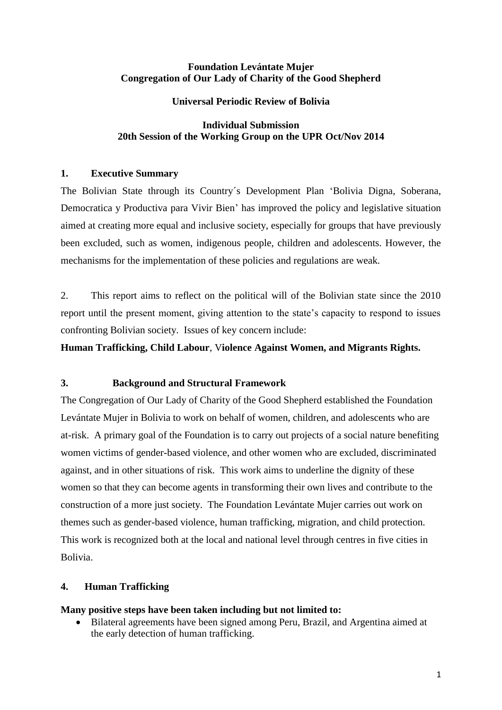## **Foundation Levántate Mujer Congregation of Our Lady of Charity of the Good Shepherd**

## **Universal Periodic Review of Bolivia**

## **Individual Submission 20th Session of the Working Group on the UPR Oct/Nov 2014**

## **1. Executive Summary**

The Bolivian State through its Country´s Development Plan 'Bolivia Digna, Soberana, Democratica y Productiva para Vivir Bien' has improved the policy and legislative situation aimed at creating more equal and inclusive society, especially for groups that have previously been excluded, such as women, indigenous people, children and adolescents. However, the mechanisms for the implementation of these policies and regulations are weak.

2. This report aims to reflect on the political will of the Bolivian state since the 2010 report until the present moment, giving attention to the state's capacity to respond to issues confronting Bolivian society. Issues of key concern include:

**Human Trafficking, Child Labour**, V**iolence Against Women, and Migrants Rights.**

# **3. Background and Structural Framework**

The Congregation of Our Lady of Charity of the Good Shepherd established the Foundation Levántate Mujer in Bolivia to work on behalf of women, children, and adolescents who are at-risk. A primary goal of the Foundation is to carry out projects of a social nature benefiting women victims of gender-based violence, and other women who are excluded, discriminated against, and in other situations of risk. This work aims to underline the dignity of these women so that they can become agents in transforming their own lives and contribute to the construction of a more just society. The Foundation Levántate Mujer carries out work on themes such as gender-based violence, human trafficking, migration, and child protection. This work is recognized both at the local and national level through centres in five cities in Bolivia.

#### **4. Human Trafficking**

#### **Many positive steps have been taken including but not limited to:**

 Bilateral agreements have been signed among Peru, Brazil, and Argentina aimed at the early detection of human trafficking.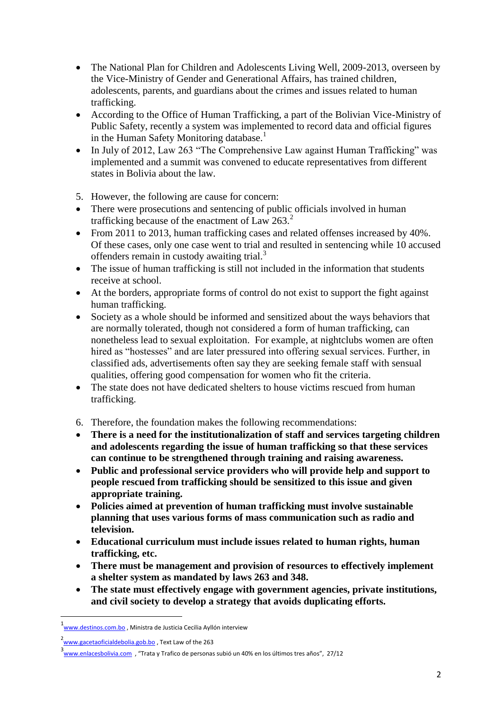- The National Plan for Children and Adolescents Living Well, 2009-2013, overseen by the Vice-Ministry of Gender and Generational Affairs, has trained children, adolescents, parents, and guardians about the crimes and issues related to human trafficking.
- According to the Office of Human Trafficking, a part of the Bolivian Vice-Ministry of Public Safety, recently a system was implemented to record data and official figures in the Human Safety Monitoring database.<sup>1</sup>
- In July of 2012, Law 263 "The Comprehensive Law against Human Trafficking" was implemented and a summit was convened to educate representatives from different states in Bolivia about the law.
- 5. However, the following are cause for concern:
- There were prosecutions and sentencing of public officials involved in human trafficking because of the enactment of Law  $263.<sup>2</sup>$
- From 2011 to 2013, human trafficking cases and related offenses increased by 40%. Of these cases, only one case went to trial and resulted in sentencing while 10 accused offenders remain in custody awaiting trial. $3$
- The issue of human trafficking is still not included in the information that students receive at school.
- At the borders, appropriate forms of control do not exist to support the fight against human trafficking.
- Society as a whole should be informed and sensitized about the ways behaviors that are normally tolerated, though not considered a form of human trafficking, can nonetheless lead to sexual exploitation. For example, at nightclubs women are often hired as "hostesses" and are later pressured into offering sexual services. Further, in classified ads, advertisements often say they are seeking female staff with sensual qualities, offering good compensation for women who fit the criteria.
- The state does not have dedicated shelters to house victims rescued from human trafficking.
- 6. Therefore, the foundation makes the following recommendations:
- **There is a need for the institutionalization of staff and services targeting children and adolescents regarding the issue of human trafficking so that these services can continue to be strengthened through training and raising awareness.**
- **Public and professional service providers who will provide help and support to people rescued from trafficking should be sensitized to this issue and given appropriate training.**
- **Policies aimed at prevention of human trafficking must involve sustainable planning that uses various forms of mass communication such as radio and television.**
- **Educational curriculum must include issues related to human rights, human trafficking, etc.**
- **There must be management and provision of resources to effectively implement a shelter system as mandated by laws 263 and 348.**
- **The state must effectively engage with government agencies, private institutions, and civil society to develop a strategy that avoids duplicating efforts.**

1

<sup>1&</sup>lt;br><u>Www.destinos.com.bo</u> , Ministra de Justicia Cecilia Ayllón interview

<sup>&</sup>lt;sup>2</sup> [www.gacetaoficialdebolia.gob.bo](http://www.gacetaoficialdebolia.gob.bo/)</u>, Text Law of the 263

<sup>3&</sup>lt;br><u>Www.enlacesbolivia.com</u> , "Trata y Trafico de personas subió un 40% en los últimos tres años", 27/12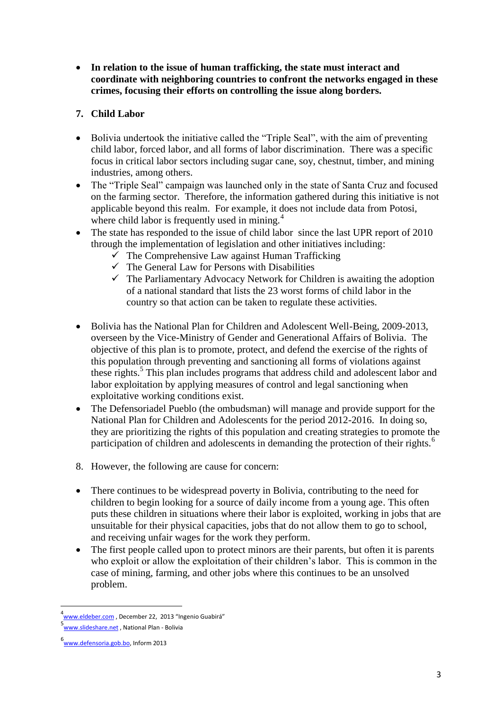**In relation to the issue of human trafficking, the state must interact and coordinate with neighboring countries to confront the networks engaged in these crimes, focusing their efforts on controlling the issue along borders.**

# **7. Child Labor**

- Bolivia undertook the initiative called the "Triple Seal", with the aim of preventing child labor, forced labor, and all forms of labor discrimination. There was a specific focus in critical labor sectors including sugar cane, soy, chestnut, timber, and mining industries, among others.
- The "Triple Seal" campaign was launched only in the state of Santa Cruz and focused on the farming sector. Therefore, the information gathered during this initiative is not applicable beyond this realm. For example, it does not include data from Potosi, where child labor is frequently used in mining.<sup>4</sup>
- The state has responded to the issue of child labor since the last UPR report of 2010 through the implementation of legislation and other initiatives including:
	- $\overline{\smash{\bigtriangledown}}$  The Comprehensive Law against Human Trafficking
	- $\checkmark$  The General Law for Persons with Disabilities
	- $\checkmark$  The Parliamentary Advocacy Network for Children is awaiting the adoption of a national standard that lists the 23 worst forms of child labor in the country so that action can be taken to regulate these activities.
- Bolivia has the National Plan for Children and Adolescent Well-Being, 2009-2013, overseen by the Vice-Ministry of Gender and Generational Affairs of Bolivia. The objective of this plan is to promote, protect, and defend the exercise of the rights of this population through preventing and sanctioning all forms of violations against these rights.<sup>5</sup> This plan includes programs that address child and adolescent labor and labor exploitation by applying measures of control and legal sanctioning when exploitative working conditions exist.
- The Defensoriadel Pueblo (the ombudsman) will manage and provide support for the National Plan for Children and Adolescents for the period 2012-2016. In doing so, they are prioritizing the rights of this population and creating strategies to promote the participation of children and adolescents in demanding the protection of their rights.<sup>6</sup>
- 8. However, the following are cause for concern:
- There continues to be widespread poverty in Bolivia, contributing to the need for children to begin looking for a source of daily income from a young age. This often puts these children in situations where their labor is exploited, working in jobs that are unsuitable for their physical capacities, jobs that do not allow them to go to school, and receiving unfair wages for the work they perform.
- The first people called upon to protect minors are their parents, but often it is parents who exploit or allow the exploitation of their children's labor. This is common in the case of mining, farming, and other jobs where this continues to be an unsolved problem.

<sup>4&</sup>lt;br>4 <u>[www.eldeber.com](http://www.eldeber.com/)</u> , December 22, 2013 "Ingenio Guabirá"

<sup>5&</sup>lt;br><u>Www.slideshare.net</u> , National Plan - Bolivia

<sup>6&</sup>lt;br>www.defensoria.gob.bo</u>, Inform 2013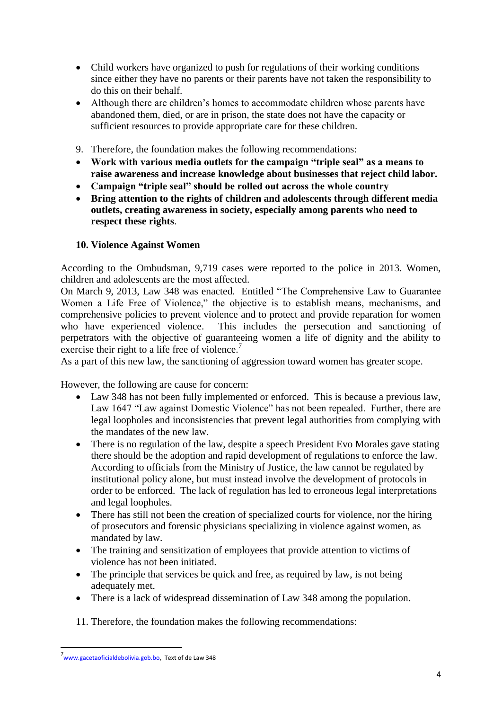- Child workers have organized to push for regulations of their working conditions since either they have no parents or their parents have not taken the responsibility to do this on their behalf.
- Although there are children's homes to accommodate children whose parents have abandoned them, died, or are in prison, the state does not have the capacity or sufficient resources to provide appropriate care for these children.
- 9. Therefore, the foundation makes the following recommendations:
- **Work with various media outlets for the campaign "triple seal" as a means to raise awareness and increase knowledge about businesses that reject child labor.**
- **Campaign "triple seal" should be rolled out across the whole country**
- **Bring attention to the rights of children and adolescents through different media outlets, creating awareness in society, especially among parents who need to respect these rights**.

## **10. Violence Against Women**

According to the Ombudsman, 9,719 cases were reported to the police in 2013. Women, children and adolescents are the most affected.

On March 9, 2013, Law 348 was enacted. Entitled "The Comprehensive Law to Guarantee Women a Life Free of Violence," the objective is to establish means, mechanisms, and comprehensive policies to prevent violence and to protect and provide reparation for women who have experienced violence. This includes the persecution and sanctioning of perpetrators with the objective of guaranteeing women a life of dignity and the ability to exercise their right to a life free of violence.<sup>7</sup>

As a part of this new law, the sanctioning of aggression toward women has greater scope.

However, the following are cause for concern:

- Law 348 has not been fully implemented or enforced. This is because a previous law, Law 1647 "Law against Domestic Violence" has not been repealed. Further, there are legal loopholes and inconsistencies that prevent legal authorities from complying with the mandates of the new law.
- There is no regulation of the law, despite a speech President Evo Morales gave stating there should be the adoption and rapid development of regulations to enforce the law. According to officials from the Ministry of Justice, the law cannot be regulated by institutional policy alone, but must instead involve the development of protocols in order to be enforced. The lack of regulation has led to erroneous legal interpretations and legal loopholes.
- There has still not been the creation of specialized courts for violence, nor the hiring of prosecutors and forensic physicians specializing in violence against women, as mandated by law.
- The training and sensitization of employees that provide attention to victims of violence has not been initiated.
- The principle that services be quick and free, as required by law, is not being adequately met.
- There is a lack of widespread dissemination of Law 348 among the population.

11. Therefore, the foundation makes the following recommendations:

<sup>–&</sup>lt;br>7<br><u>www.gacetaoficialdebolivia.gob.bo</u>, Text of de Law 348